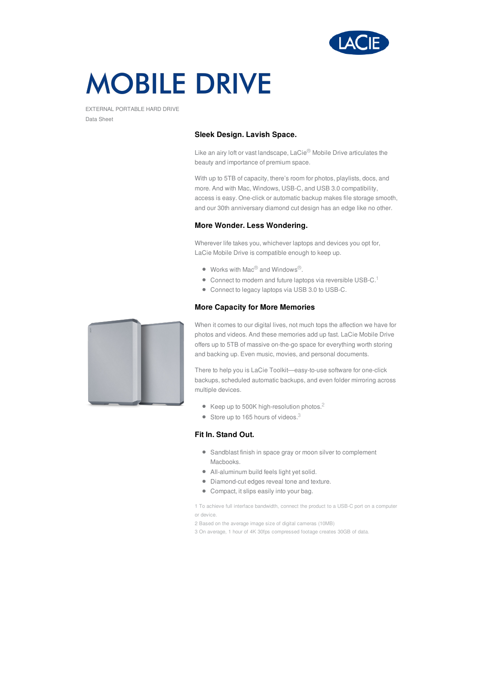

# **MOBILE DRIVE**

EXTERNAL PORTABLE HARD DRIVE Data Sheet

#### **Sleek Design. Lavish Space.**

Like an airy loft or vast landscape, LaCie® Mobile Drive articulates the beauty and importance of premium space.

With up to 5TB of capacity, there's room for photos, playlists, docs, and more. And with Mac, Windows, USB-C, and USB 3.0 compatibility, access is easy. One-click or automatic backup makes file storage smooth, and our 30th anniversary diamond cut design has an edge like no other.

#### **More Wonder. Less Wondering.**

Wherever life takes you, whichever laptops and devices you opt for, LaCie Mobile Drive is compatible enough to keep up.

- Works with Mac® and Windows<sup>®</sup>.
- $\bullet$  Connect to modern and future laptops via reversible USB-C.<sup>1</sup>
- Connect to legacy laptops via USB 3.0 to USB-C.

#### **More Capacity for More Memories**



When it comes to our digital lives, not much tops the affection we have for photos and videos. And these memories add up fast. LaCie Mobile Drive offers up to 5TB of massive on-the-go space for everything worth storing and backing up. Even music, movies, and personal documents.

There to help you is LaCie Toolkit—easy-to-use software for one-click backups, scheduled automatic backups, and even folder mirroring across multiple devices.

- Keep up to 500K high-resolution photos.<sup>2</sup>
- $\bullet$  Store up to 165 hours of videos.<sup>3</sup>

### **Fit In. Stand Out.**

- Sandblast finish in space gray or moon silver to complement Macbooks.
- All-aluminum build feels light yet solid.
- Diamond-cut edges reveal tone and texture.
- Compact, it slips easily into your bag.

1 To achieve full interface bandwidth, connect the product to a USB-C port on a computer or device.

- 2 Based on the average image size of digital cameras (10MB)
- 3 On average, 1 hour of 4K 30fps compressed footage creates 30GB of data.